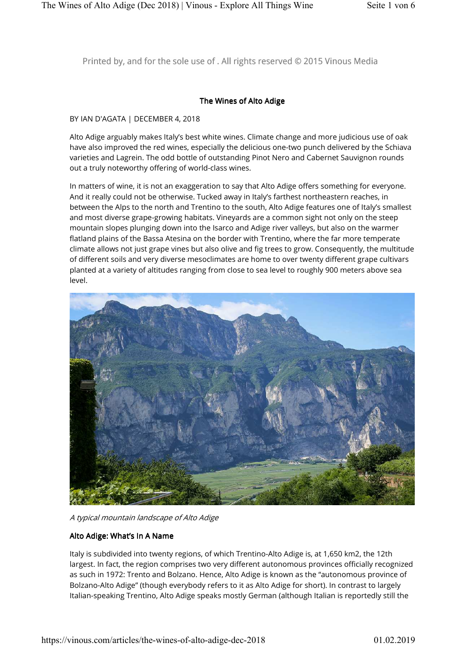Printed by, and for the sole use of . All rights reserved © 2015 Vinous Media

## The Wines of Alto Adige

#### BY IAN D'AGATA | DECEMBER 4, 2018

Alto Adige arguably makes Italy's best white wines. Climate change and more judicious use of oak have also improved the red wines, especially the delicious one-two punch delivered by the Schiava varieties and Lagrein. The odd bottle of outstanding Pinot Nero and Cabernet Sauvignon rounds out a truly noteworthy offering of world-class wines.

In matters of wine, it is not an exaggeration to say that Alto Adige offers something for everyone. And it really could not be otherwise. Tucked away in Italy's farthest northeastern reaches, in between the Alps to the north and Trentino to the south, Alto Adige features one of Italy's smallest and most diverse grape-growing habitats. Vineyards are a common sight not only on the steep mountain slopes plunging down into the Isarco and Adige river valleys, but also on the warmer flatland plains of the Bassa Atesina on the border with Trentino, where the far more temperate climate allows not just grape vines but also olive and fig trees to grow. Consequently, the multitude of different soils and very diverse mesoclimates are home to over twenty different grape cultivars planted at a variety of altitudes ranging from close to sea level to roughly 900 meters above sea level.



A typical mountain landscape of Alto Adige

#### Alto Adige: What's In A Name

Italy is subdivided into twenty regions, of which Trentino-Alto Adige is, at 1,650 km2, the 12th largest. In fact, the region comprises two very different autonomous provinces officially recognized as such in 1972: Trento and Bolzano. Hence, Alto Adige is known as the "autonomous province of Bolzano-Alto Adige" (though everybody refers to it as Alto Adige for short). In contrast to largely Italian-speaking Trentino, Alto Adige speaks mostly German (although Italian is reportedly still the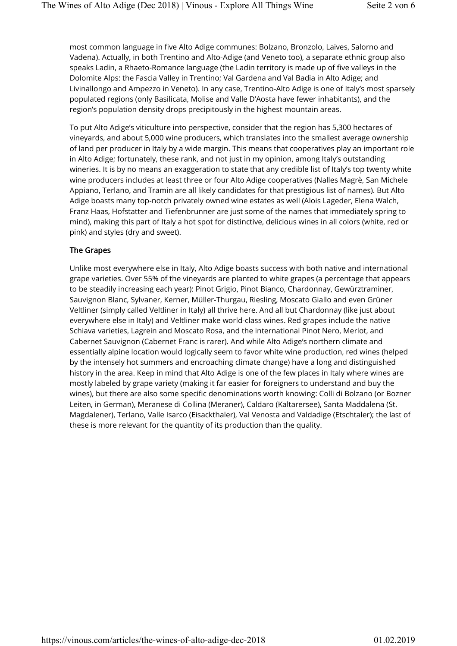most common language in five Alto Adige communes: Bolzano, Bronzolo, Laives, Salorno and Vadena). Actually, in both Trentino and Alto-Adige (and Veneto too), a separate ethnic group also speaks Ladin, a Rhaeto-Romance language (the Ladin territory is made up of five valleys in the Dolomite Alps: the Fascia Valley in Trentino; Val Gardena and Val Badia in Alto Adige; and Livinallongo and Ampezzo in Veneto). In any case, Trentino-Alto Adige is one of Italy's most sparsely populated regions (only Basilicata, Molise and Valle D'Aosta have fewer inhabitants), and the region's population density drops precipitously in the highest mountain areas.

To put Alto Adige's viticulture into perspective, consider that the region has 5,300 hectares of vineyards, and about 5,000 wine producers, which translates into the smallest average ownership of land per producer in Italy by a wide margin. This means that cooperatives play an important role in Alto Adige; fortunately, these rank, and not just in my opinion, among Italy's outstanding wineries. It is by no means an exaggeration to state that any credible list of Italy's top twenty white wine producers includes at least three or four Alto Adige cooperatives (Nalles Magrè, San Michele Appiano, Terlano, and Tramin are all likely candidates for that prestigious list of names). But Alto Adige boasts many top-notch privately owned wine estates as well (Alois Lageder, Elena Walch, Franz Haas, Hofstatter and Tiefenbrunner are just some of the names that immediately spring to mind), making this part of Italy a hot spot for distinctive, delicious wines in all colors (white, red or pink) and styles (dry and sweet).

## The Grapes

Unlike most everywhere else in Italy, Alto Adige boasts success with both native and international grape varieties. Over 55% of the vineyards are planted to white grapes (a percentage that appears to be steadily increasing each year): Pinot Grigio, Pinot Bianco, Chardonnay, Gewürztraminer, Sauvignon Blanc, Sylvaner, Kerner, Müller-Thurgau, Riesling, Moscato Giallo and even Grüner Veltliner (simply called Veltliner in Italy) all thrive here. And all but Chardonnay (like just about everywhere else in Italy) and Veltliner make world-class wines. Red grapes include the native Schiava varieties, Lagrein and Moscato Rosa, and the international Pinot Nero, Merlot, and Cabernet Sauvignon (Cabernet Franc is rarer). And while Alto Adige's northern climate and essentially alpine location would logically seem to favor white wine production, red wines (helped by the intensely hot summers and encroaching climate change) have a long and distinguished history in the area. Keep in mind that Alto Adige is one of the few places in Italy where wines are mostly labeled by grape variety (making it far easier for foreigners to understand and buy the wines), but there are also some specific denominations worth knowing: Colli di Bolzano (or Bozner Leiten, in German), Meranese di Collina (Meraner), Caldaro (Kaltarersee), Santa Maddalena (St. Magdalener), Terlano, Valle Isarco (Eisackthaler), Val Venosta and Valdadige (Etschtaler); the last of these is more relevant for the quantity of its production than the quality.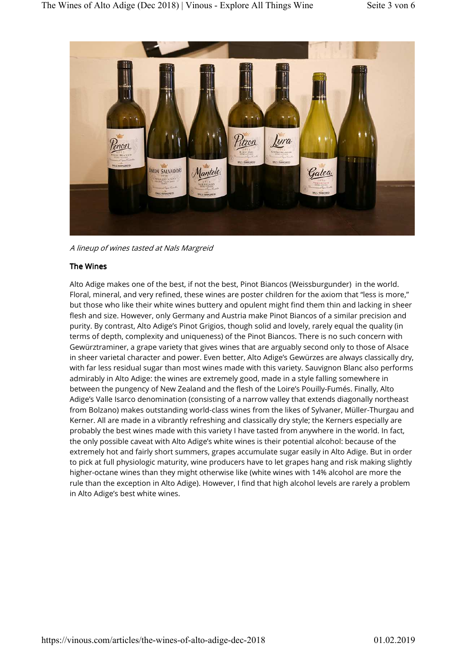

A lineup of wines tasted at Nals Margreid

## The Wines

Alto Adige makes one of the best, if not the best, Pinot Biancos (Weissburgunder) in the world. Floral, mineral, and very refined, these wines are poster children for the axiom that "less is more," but those who like their white wines buttery and opulent might find them thin and lacking in sheer flesh and size. However, only Germany and Austria make Pinot Biancos of a similar precision and purity. By contrast, Alto Adige's Pinot Grigios, though solid and lovely, rarely equal the quality (in terms of depth, complexity and uniqueness) of the Pinot Biancos. There is no such concern with Gewürztraminer, a grape variety that gives wines that are arguably second only to those of Alsace in sheer varietal character and power. Even better, Alto Adige's Gewürzes are always classically dry, with far less residual sugar than most wines made with this variety. Sauvignon Blanc also performs admirably in Alto Adige: the wines are extremely good, made in a style falling somewhere in between the pungency of New Zealand and the flesh of the Loire's Pouilly-Fumés. Finally, Alto Adige's Valle Isarco denomination (consisting of a narrow valley that extends diagonally northeast from Bolzano) makes outstanding world-class wines from the likes of Sylvaner, Müller-Thurgau and Kerner. All are made in a vibrantly refreshing and classically dry style; the Kerners especially are probably the best wines made with this variety I have tasted from anywhere in the world. In fact, the only possible caveat with Alto Adige's white wines is their potential alcohol: because of the extremely hot and fairly short summers, grapes accumulate sugar easily in Alto Adige. But in order to pick at full physiologic maturity, wine producers have to let grapes hang and risk making slightly higher-octane wines than they might otherwise like (white wines with 14% alcohol are more the rule than the exception in Alto Adige). However, I find that high alcohol levels are rarely a problem in Alto Adige's best white wines.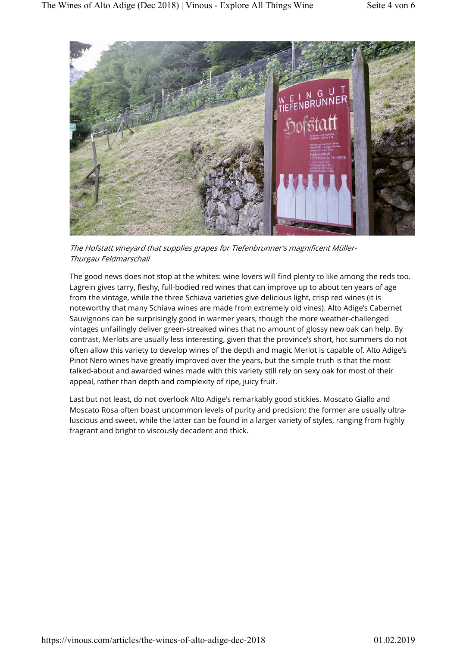

The Hofstatt vineyard that supplies grapes for Tiefenbrunner's magnificent Müller-Thurgau Feldmarschall

The good news does not stop at the whites: wine lovers will find plenty to like among the reds too. Lagrein gives tarry, fleshy, full-bodied red wines that can improve up to about ten years of age from the vintage, while the three Schiava varieties give delicious light, crisp red wines (it is noteworthy that many Schiava wines are made from extremely old vines). Alto Adige's Cabernet Sauvignons can be surprisingly good in warmer years, though the more weather-challenged vintages unfailingly deliver green-streaked wines that no amount of glossy new oak can help. By contrast, Merlots are usually less interesting, given that the province's short, hot summers do not often allow this variety to develop wines of the depth and magic Merlot is capable of. Alto Adige's Pinot Nero wines have greatly improved over the years, but the simple truth is that the most talked-about and awarded wines made with this variety still rely on sexy oak for most of their appeal, rather than depth and complexity of ripe, juicy fruit.

Last but not least, do not overlook Alto Adige's remarkably good stickies. Moscato Giallo and Moscato Rosa often boast uncommon levels of purity and precision; the former are usually ultraluscious and sweet, while the latter can be found in a larger variety of styles, ranging from highly fragrant and bright to viscously decadent and thick.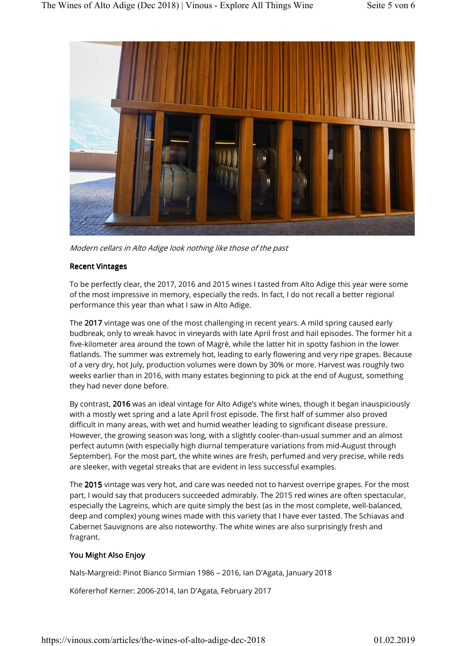

Modern cellars in Alto Adige look nothing like those of the past

## Recent Vintages

To be perfectly clear, the 2017, 2016 and 2015 wines I tasted from Alto Adige this year were some of the most impressive in memory, especially the reds. In fact, I do not recall a better regional performance this year than what I saw in Alto Adige.

The 2017 vintage was one of the most challenging in recent years. A mild spring caused early budbreak, only to wreak havoc in vineyards with late April frost and hail episodes. The former hit a five-kilometer area around the town of Magrè, while the latter hit in spotty fashion in the lower flatlands. The summer was extremely hot, leading to early flowering and very ripe grapes. Because of a very dry, hot July, production volumes were down by 30% or more. Harvest was roughly two weeks earlier than in 2016, with many estates beginning to pick at the end of August, something they had never done before.

By contrast, 2016 was an ideal vintage for Alto Adige's white wines, though it began inauspiciously with a mostly wet spring and a late April frost episode. The first half of summer also proved difficult in many areas, with wet and humid weather leading to significant disease pressure. However, the growing season was long, with a slightly cooler-than-usual summer and an almost perfect autumn (with especially high diurnal temperature variations from mid-August through September). For the most part, the white wines are fresh, perfumed and very precise, while reds are sleeker, with vegetal streaks that are evident in less successful examples.

The 2015 vintage was very hot, and care was needed not to harvest overripe grapes. For the most part, I would say that producers succeeded admirably. The 2015 red wines are often spectacular, especially the Lagreins, which are quite simply the best (as in the most complete, well-balanced, deep and complex) young wines made with this variety that I have ever tasted. The Schiavas and Cabernet Sauvignons are also noteworthy. The white wines are also surprisingly fresh and fragrant.

# You Might Also Enjoy

Nals-Margreid: Pinot Bianco Sirmian 1986 – 2016, Ian D'Agata, January 2018

Köfererhof Kerner: 2006-2014, Ian D'Agata, February 2017